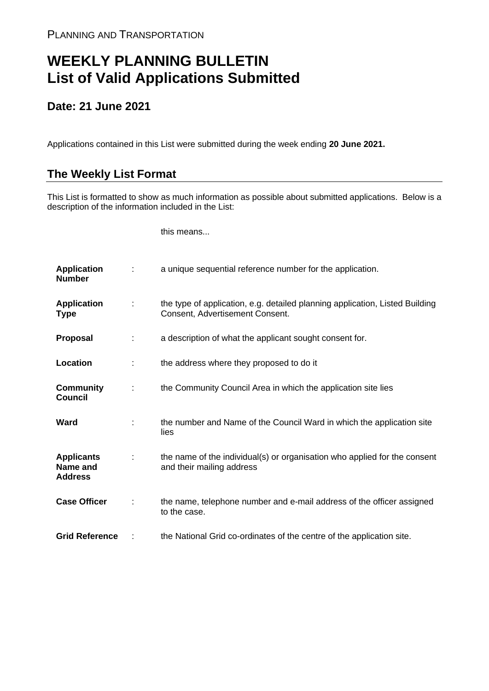## **WEEKLY PLANNING BULLETIN List of Valid Applications Submitted**

## **Date: 21 June 2021**

Applications contained in this List were submitted during the week ending **20 June 2021.**

## **The Weekly List Format**

This List is formatted to show as much information as possible about submitted applications. Below is a description of the information included in the List:

this means...

| <b>Application</b><br><b>Number</b>             |   | a unique sequential reference number for the application.                                                       |
|-------------------------------------------------|---|-----------------------------------------------------------------------------------------------------------------|
| <b>Application</b><br>Type                      | ÷ | the type of application, e.g. detailed planning application, Listed Building<br>Consent, Advertisement Consent. |
| Proposal                                        |   | a description of what the applicant sought consent for.                                                         |
| Location                                        |   | the address where they proposed to do it                                                                        |
| <b>Community</b><br><b>Council</b>              | ÷ | the Community Council Area in which the application site lies                                                   |
| Ward                                            |   | the number and Name of the Council Ward in which the application site<br>lies                                   |
| <b>Applicants</b><br>Name and<br><b>Address</b> |   | the name of the individual(s) or organisation who applied for the consent<br>and their mailing address          |
| <b>Case Officer</b>                             |   | the name, telephone number and e-mail address of the officer assigned<br>to the case.                           |
| <b>Grid Reference</b>                           |   | the National Grid co-ordinates of the centre of the application site.                                           |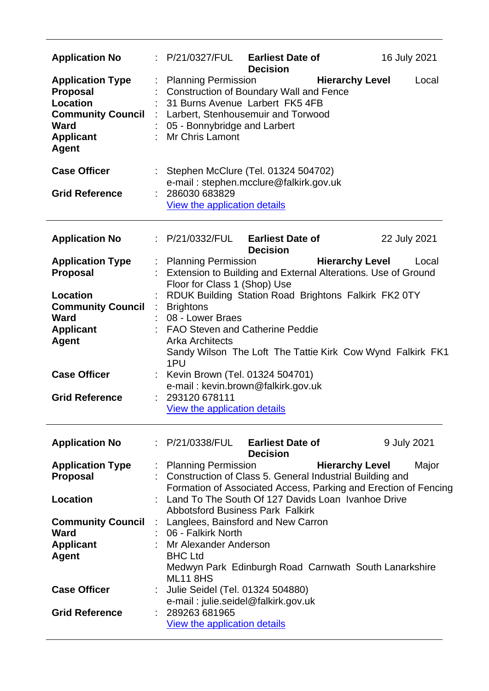| <b>Application No</b>                                                                                                          |         | : P/21/0327/FUL Earliest Date of<br>16 July 2021<br><b>Decision</b>                                                                                                                                                                                |  |  |  |  |
|--------------------------------------------------------------------------------------------------------------------------------|---------|----------------------------------------------------------------------------------------------------------------------------------------------------------------------------------------------------------------------------------------------------|--|--|--|--|
| <b>Application Type</b><br><b>Proposal</b><br>Location<br><b>Community Council</b><br>Ward<br><b>Applicant</b><br><b>Agent</b> | t,<br>÷ | <b>Planning Permission</b><br><b>Hierarchy Level</b><br>Local<br><b>Construction of Boundary Wall and Fence</b><br>31 Burns Avenue Larbert FK5 4FB<br>Larbert, Stenhousemuir and Torwood<br>05 - Bonnybridge and Larbert<br><b>Mr Chris Lamont</b> |  |  |  |  |
| <b>Case Officer</b><br><b>Grid Reference</b>                                                                                   |         | Stephen McClure (Tel. 01324 504702)<br>e-mail: stephen.mcclure@falkirk.gov.uk<br>286030 683829<br>View the application details                                                                                                                     |  |  |  |  |
|                                                                                                                                |         |                                                                                                                                                                                                                                                    |  |  |  |  |
| <b>Application No</b>                                                                                                          |         | : P/21/0332/FUL Earliest Date of<br>22 July 2021<br><b>Decision</b>                                                                                                                                                                                |  |  |  |  |
| <b>Application Type</b><br><b>Proposal</b>                                                                                     |         | <b>Hierarchy Level</b><br>: Planning Permission<br>Local<br>Extension to Building and External Alterations. Use of Ground<br>Floor for Class 1 (Shop) Use                                                                                          |  |  |  |  |
| <b>Location</b><br><b>Community Council</b><br><b>Ward</b><br><b>Applicant</b><br><b>Agent</b>                                 |         | RDUK Building Station Road Brightons Falkirk FK2 0TY<br><b>Brightons</b><br>08 - Lower Braes<br><b>FAO Steven and Catherine Peddie</b><br><b>Arka Architects</b><br>Sandy Wilson The Loft The Tattie Kirk Cow Wynd Falkirk FK1                     |  |  |  |  |
| <b>Case Officer</b>                                                                                                            |         | 1PU<br>Kevin Brown (Tel. 01324 504701)                                                                                                                                                                                                             |  |  |  |  |
| <b>Grid Reference</b>                                                                                                          |         | e-mail: kevin.brown@falkirk.gov.uk<br>: 293120 678111<br><b>View the application details</b>                                                                                                                                                       |  |  |  |  |
| <b>Application No</b>                                                                                                          |         | : P/21/0338/FUL Earliest Date of<br>9 July 2021<br><b>Decision</b>                                                                                                                                                                                 |  |  |  |  |
| <b>Application Type</b><br><b>Proposal</b>                                                                                     | ÷       | <b>Planning Permission</b><br><b>Hierarchy Level</b><br>Major<br>: Construction of Class 5. General Industrial Building and<br>Formation of Associated Access, Parking and Erection of Fencing                                                     |  |  |  |  |
| Location                                                                                                                       |         | Land To The South Of 127 Davids Loan Ivanhoe Drive<br><b>Abbotsford Business Park Falkirk</b>                                                                                                                                                      |  |  |  |  |
| <b>Community Council</b><br><b>Ward</b>                                                                                        |         | : Langlees, Bainsford and New Carron<br>06 - Falkirk North                                                                                                                                                                                         |  |  |  |  |
| <b>Applicant</b><br><b>Agent</b>                                                                                               |         | : Mr Alexander Anderson<br><b>BHC Ltd</b><br>Medwyn Park Edinburgh Road Carnwath South Lanarkshire<br><b>ML11 8HS</b>                                                                                                                              |  |  |  |  |
| <b>Case Officer</b>                                                                                                            |         | Julie Seidel (Tel. 01324 504880)<br>e-mail: julie.seidel@falkirk.gov.uk                                                                                                                                                                            |  |  |  |  |
| <b>Grid Reference</b>                                                                                                          |         | 289263 681965<br>View the application details                                                                                                                                                                                                      |  |  |  |  |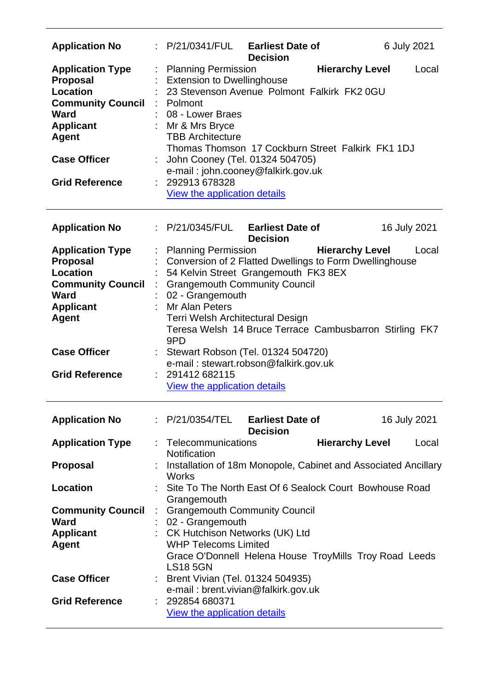| <b>Application No</b>                                                                                                                                                          | P/21/0341/FUL                                                                                                                                                                                                                                                                                                                                                                 | <b>Earliest Date of</b><br><b>Decision</b> |                        | 6 July 2021  |  |
|--------------------------------------------------------------------------------------------------------------------------------------------------------------------------------|-------------------------------------------------------------------------------------------------------------------------------------------------------------------------------------------------------------------------------------------------------------------------------------------------------------------------------------------------------------------------------|--------------------------------------------|------------------------|--------------|--|
| <b>Application Type</b><br><b>Proposal</b><br>Location<br><b>Community Council</b><br>Ward<br><b>Applicant</b><br><b>Agent</b><br><b>Case Officer</b><br><b>Grid Reference</b> | <b>Planning Permission</b><br><b>Extension to Dwellinghouse</b><br>23 Stevenson Avenue Polmont Falkirk FK2 0GU<br>: Polmont<br>08 - Lower Braes<br>: Mr & Mrs Bryce<br><b>TBB Architecture</b><br>Thomas Thomson 17 Cockburn Street Falkirk FK1 1DJ<br>John Cooney (Tel. 01324 504705)<br>e-mail: john.cooney@falkirk.gov.uk<br>292913 678328<br>View the application details |                                            | <b>Hierarchy Level</b> | Local        |  |
| <b>Application No</b>                                                                                                                                                          | : P/21/0345/FUL                                                                                                                                                                                                                                                                                                                                                               | <b>Earliest Date of</b><br><b>Decision</b> |                        | 16 July 2021 |  |
| <b>Application Type</b><br><b>Proposal</b><br>Location<br><b>Community Council</b><br>Ward<br><b>Applicant</b><br><b>Agent</b>                                                 | <b>Planning Permission</b><br>Conversion of 2 Flatted Dwellings to Form Dwellinghouse<br>54 Kelvin Street Grangemouth FK3 8EX<br><b>Grangemouth Community Council</b><br>02 - Grangemouth<br>Mr Alan Peters<br>Terri Welsh Architectural Design<br>Teresa Welsh 14 Bruce Terrace Cambusbarron Stirling FK7<br>9PD                                                             |                                            | <b>Hierarchy Level</b> | Local        |  |
| <b>Case Officer</b><br><b>Grid Reference</b>                                                                                                                                   | : Stewart Robson (Tel. 01324 504720)<br>e-mail: stewart.robson@falkirk.gov.uk<br>: 291412682115<br>View the application details                                                                                                                                                                                                                                               |                                            |                        |              |  |
| <b>Application No</b>                                                                                                                                                          | : P/21/0354/TEL                                                                                                                                                                                                                                                                                                                                                               | <b>Earliest Date of</b><br><b>Decision</b> |                        | 16 July 2021 |  |
| <b>Application Type</b>                                                                                                                                                        | : Telecommunications<br>Notification                                                                                                                                                                                                                                                                                                                                          |                                            | <b>Hierarchy Level</b> | Local        |  |
| <b>Proposal</b>                                                                                                                                                                | Installation of 18m Monopole, Cabinet and Associated Ancillary<br><b>Works</b>                                                                                                                                                                                                                                                                                                |                                            |                        |              |  |
| <b>Location</b>                                                                                                                                                                | Site To The North East Of 6 Sealock Court Bowhouse Road<br>Grangemouth                                                                                                                                                                                                                                                                                                        |                                            |                        |              |  |
| <b>Community Council</b><br><b>Ward</b><br><b>Applicant</b><br><b>Agent</b>                                                                                                    | <b>Grangemouth Community Council</b><br>02 - Grangemouth<br>: CK Hutchison Networks (UK) Ltd<br><b>WHP Telecoms Limited</b><br>Grace O'Donnell Helena House TroyMills Troy Road Leeds<br><b>LS18 5GN</b>                                                                                                                                                                      |                                            |                        |              |  |
| <b>Case Officer</b>                                                                                                                                                            | : Brent Vivian (Tel. 01324 504935)<br>e-mail: brent.vivian@falkirk.gov.uk                                                                                                                                                                                                                                                                                                     |                                            |                        |              |  |
| <b>Grid Reference</b>                                                                                                                                                          | 292854 680371<br>View the application details                                                                                                                                                                                                                                                                                                                                 |                                            |                        |              |  |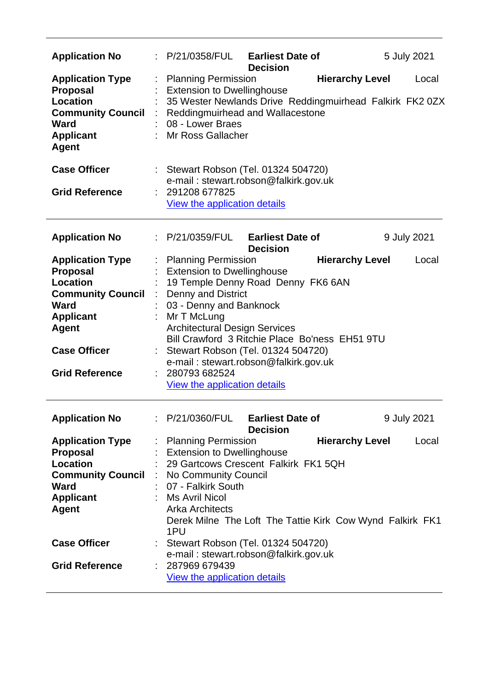| <b>Application No</b>                                                                                                                                                                        |                                                                                                                                                                                                                                 | : P/21/0358/FUL Earliest Date of<br><b>Decision</b>                                                                                                                 | 5 July 2021                                                                                 |
|----------------------------------------------------------------------------------------------------------------------------------------------------------------------------------------------|---------------------------------------------------------------------------------------------------------------------------------------------------------------------------------------------------------------------------------|---------------------------------------------------------------------------------------------------------------------------------------------------------------------|---------------------------------------------------------------------------------------------|
| <b>Application Type</b><br><b>Proposal</b><br><b>Location</b><br><b>Community Council</b><br><b>Ward</b><br><b>Applicant</b><br><b>Agent</b>                                                 | <b>Planning Permission</b><br><b>Extension to Dwellinghouse</b><br>08 - Lower Braes<br>: Mr Ross Gallacher                                                                                                                      | <b>Reddingmuirhead and Wallacestone</b>                                                                                                                             | <b>Hierarchy Level</b><br>Local<br>35 Wester Newlands Drive Reddingmuirhead Falkirk FK2 0ZX |
| <b>Case Officer</b><br><b>Grid Reference</b>                                                                                                                                                 | : 291208 677825<br>View the application details                                                                                                                                                                                 | : Stewart Robson (Tel. 01324 504720)<br>e-mail: stewart.robson@falkirk.gov.uk                                                                                       |                                                                                             |
| <b>Application No</b>                                                                                                                                                                        | P/21/0359/FUL                                                                                                                                                                                                                   | <b>Earliest Date of</b><br><b>Decision</b>                                                                                                                          | 9 July 2021                                                                                 |
| <b>Application Type</b><br><b>Proposal</b><br><b>Location</b><br><b>Community Council</b><br><b>Ward</b><br><b>Applicant</b><br><b>Agent</b><br><b>Case Officer</b><br><b>Grid Reference</b> | <b>Planning Permission</b><br><b>Extension to Dwellinghouse</b><br><b>Denny and District</b><br>03 - Denny and Banknock<br>Mr T McLung<br><b>Architectural Design Services</b><br>280793 682524<br>View the application details | 19 Temple Denny Road Denny FK6 6AN<br>Bill Crawford 3 Ritchie Place Bo'ness EH51 9TU<br>Stewart Robson (Tel. 01324 504720)<br>e-mail: stewart.robson@falkirk.gov.uk | <b>Hierarchy Level</b><br>Local                                                             |
| <b>Application No</b>                                                                                                                                                                        | P/21/0360/FUL                                                                                                                                                                                                                   | <b>Earliest Date of</b>                                                                                                                                             | 9 July 2021                                                                                 |
| <b>Application Type</b><br><b>Proposal</b><br><b>Location</b><br><b>Community Council : No Community Council</b><br><b>Ward</b><br><b>Applicant</b><br><b>Agent</b>                          | <b>Planning Permission</b><br><b>Extension to Dwellinghouse</b><br>07 - Falkirk South<br>Ms Avril Nicol<br><b>Arka Architects</b><br>1PU                                                                                        | <b>Decision</b><br>29 Gartcows Crescent Falkirk FK1 5QH<br>Derek Milne The Loft The Tattie Kirk Cow Wynd Falkirk FK1                                                | <b>Hierarchy Level</b><br>Local                                                             |
| <b>Case Officer</b><br><b>Grid Reference</b>                                                                                                                                                 | 287969 679439<br><b>View the application details</b>                                                                                                                                                                            | Stewart Robson (Tel. 01324 504720)<br>e-mail: stewart.robson@falkirk.gov.uk                                                                                         |                                                                                             |